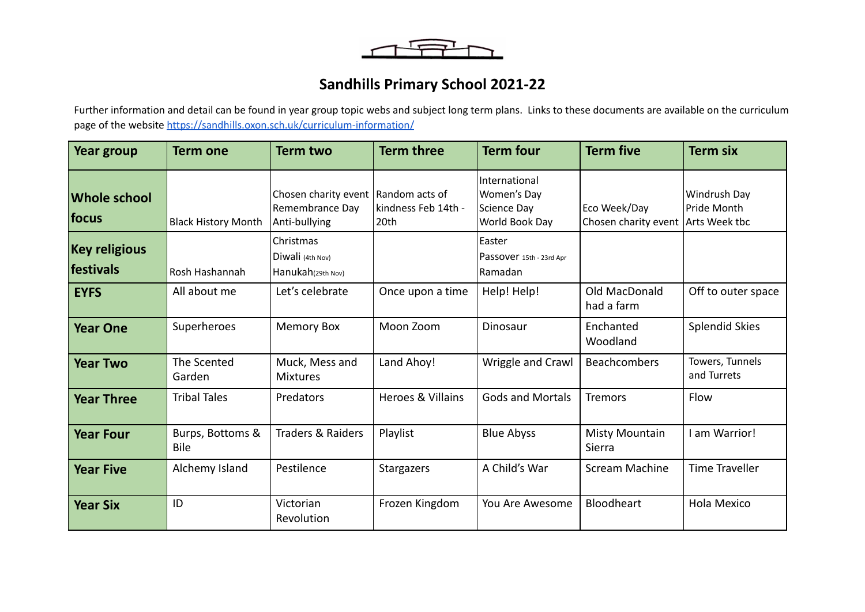$\overbrace{\phantom{aaaaa}}$ 

## **Sandhills Primary School 2021-22**

Further information and detail can be found in year group topic webs and subject long term plans. Links to these documents are available on the curriculum page of the website <https://sandhills.oxon.sch.uk/curriculum-information/>

| <b>Year group</b>                 | <b>Term one</b>                 | <b>Term two</b>                                                           | <b>Term three</b>           | <b>Term four</b>                                                     | <b>Term five</b>                     | <b>Term six</b>                                     |
|-----------------------------------|---------------------------------|---------------------------------------------------------------------------|-----------------------------|----------------------------------------------------------------------|--------------------------------------|-----------------------------------------------------|
| <b>Whole school</b><br> focus     | <b>Black History Month</b>      | Chosen charity event   Random acts of<br>Remembrance Day<br>Anti-bullying | kindness Feb 14th -<br>20th | International<br><b>Women's Day</b><br>Science Day<br>World Book Day | Eco Week/Day<br>Chosen charity event | <b>Windrush Day</b><br>Pride Month<br>Arts Week tbc |
| <b>Key religious</b><br>festivals | Rosh Hashannah                  | Christmas<br>Diwali (4th Nov)<br>Hanukah(29th Nov)                        |                             | Easter<br>Passover 15th - 23rd Apr<br>Ramadan                        |                                      |                                                     |
| <b>EYFS</b>                       | All about me                    | Let's celebrate                                                           | Once upon a time            | Help! Help!                                                          | Old MacDonald<br>had a farm          | Off to outer space                                  |
| <b>Year One</b>                   | Superheroes                     | <b>Memory Box</b>                                                         | Moon Zoom                   | Dinosaur                                                             | Enchanted<br>Woodland                | <b>Splendid Skies</b>                               |
| <b>Year Two</b>                   | The Scented<br>Garden           | Muck, Mess and<br><b>Mixtures</b>                                         | Land Ahoy!                  | Wriggle and Crawl                                                    | Beachcombers                         | Towers, Tunnels<br>and Turrets                      |
| <b>Year Three</b>                 | <b>Tribal Tales</b>             | Predators                                                                 | Heroes & Villains           | <b>Gods and Mortals</b>                                              | <b>Tremors</b>                       | Flow                                                |
| <b>Year Four</b>                  | Burps, Bottoms &<br><b>Bile</b> | <b>Traders &amp; Raiders</b>                                              | Playlist                    | <b>Blue Abyss</b>                                                    | <b>Misty Mountain</b><br>Sierra      | I am Warrior!                                       |
| <b>Year Five</b>                  | Alchemy Island                  | Pestilence                                                                | <b>Stargazers</b>           | A Child's War                                                        | <b>Scream Machine</b>                | <b>Time Traveller</b>                               |
| <b>Year Six</b>                   | ID                              | Victorian<br>Revolution                                                   | Frozen Kingdom              | You Are Awesome                                                      | Bloodheart                           | Hola Mexico                                         |